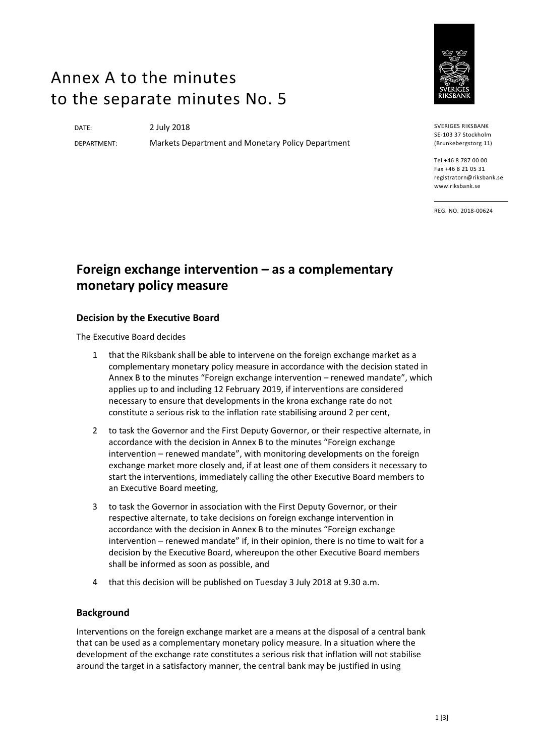# Annex A to the minutes to the separate minutes No. 5

DATE: 2 July 2018

DEPARTMENT: Markets Department and Monetary Policy Department



SVERIGES RIKSBANK SE-103 37 Stockholm (Brunkebergstorg 11)

Tel +46 8 787 00 00 Fax +46 8 21 05 31 registratorn@riksbank.se www.riksbank.se

REG. NO. 2018-00624

# **Foreign exchange intervention – as a complementary monetary policy measure**

## **Decision by the Executive Board**

The Executive Board decides

- 1 that the Riksbank shall be able to intervene on the foreign exchange market as a complementary monetary policy measure in accordance with the decision stated in Annex B to the minutes "Foreign exchange intervention – renewed mandate", which applies up to and including 12 February 2019, if interventions are considered necessary to ensure that developments in the krona exchange rate do not constitute a serious risk to the inflation rate stabilising around 2 per cent,
- 2 to task the Governor and the First Deputy Governor, or their respective alternate, in accordance with the decision in Annex B to the minutes "Foreign exchange intervention – renewed mandate", with monitoring developments on the foreign exchange market more closely and, if at least one of them considers it necessary to start the interventions, immediately calling the other Executive Board members to an Executive Board meeting,
- 3 to task the Governor in association with the First Deputy Governor, or their respective alternate, to take decisions on foreign exchange intervention in accordance with the decision in Annex B to the minutes "Foreign exchange intervention – renewed mandate" if, in their opinion, there is no time to wait for a decision by the Executive Board, whereupon the other Executive Board members shall be informed as soon as possible, and
- 4 that this decision will be published on Tuesday 3 July 2018 at 9.30 a.m.

#### **Background**

Interventions on the foreign exchange market are a means at the disposal of a central bank that can be used as a complementary monetary policy measure. In a situation where the development of the exchange rate constitutes a serious risk that inflation will not stabilise around the target in a satisfactory manner, the central bank may be justified in using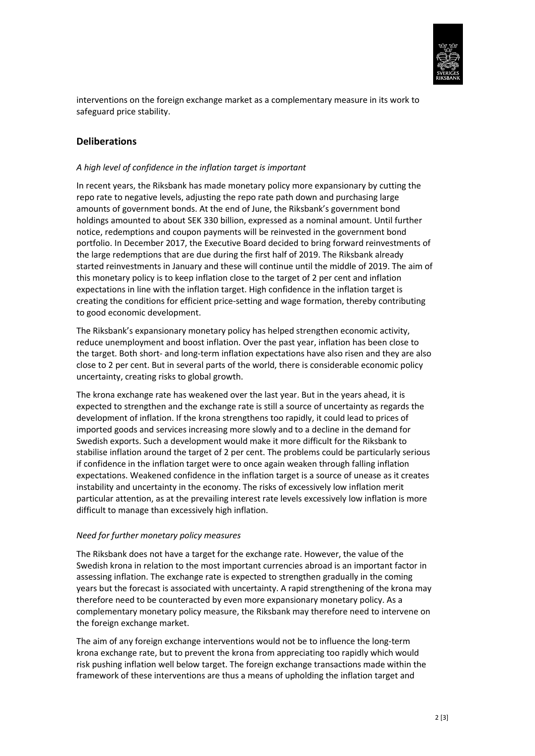

interventions on the foreign exchange market as a complementary measure in its work to safeguard price stability.

### **Deliberations**

#### *A high level of confidence in the inflation target is important*

In recent years, the Riksbank has made monetary policy more expansionary by cutting the repo rate to negative levels, adjusting the repo rate path down and purchasing large amounts of government bonds. At the end of June, the Riksbank's government bond holdings amounted to about SEK 330 billion, expressed as a nominal amount. Until further notice, redemptions and coupon payments will be reinvested in the government bond portfolio. In December 2017, the Executive Board decided to bring forward reinvestments of the large redemptions that are due during the first half of 2019. The Riksbank already started reinvestments in January and these will continue until the middle of 2019. The aim of this monetary policy is to keep inflation close to the target of 2 per cent and inflation expectations in line with the inflation target. High confidence in the inflation target is creating the conditions for efficient price-setting and wage formation, thereby contributing to good economic development.

The Riksbank's expansionary monetary policy has helped strengthen economic activity, reduce unemployment and boost inflation. Over the past year, inflation has been close to the target. Both short- and long-term inflation expectations have also risen and they are also close to 2 per cent. But in several parts of the world, there is considerable economic policy uncertainty, creating risks to global growth.

The krona exchange rate has weakened over the last year. But in the years ahead, it is expected to strengthen and the exchange rate is still a source of uncertainty as regards the development of inflation. If the krona strengthens too rapidly, it could lead to prices of imported goods and services increasing more slowly and to a decline in the demand for Swedish exports. Such a development would make it more difficult for the Riksbank to stabilise inflation around the target of 2 per cent. The problems could be particularly serious if confidence in the inflation target were to once again weaken through falling inflation expectations. Weakened confidence in the inflation target is a source of unease as it creates instability and uncertainty in the economy. The risks of excessively low inflation merit particular attention, as at the prevailing interest rate levels excessively low inflation is more difficult to manage than excessively high inflation.

#### *Need for further monetary policy measures*

The Riksbank does not have a target for the exchange rate. However, the value of the Swedish krona in relation to the most important currencies abroad is an important factor in assessing inflation. The exchange rate is expected to strengthen gradually in the coming years but the forecast is associated with uncertainty. A rapid strengthening of the krona may therefore need to be counteracted by even more expansionary monetary policy. As a complementary monetary policy measure, the Riksbank may therefore need to intervene on the foreign exchange market.

The aim of any foreign exchange interventions would not be to influence the long-term krona exchange rate, but to prevent the krona from appreciating too rapidly which would risk pushing inflation well below target. The foreign exchange transactions made within the framework of these interventions are thus a means of upholding the inflation target and